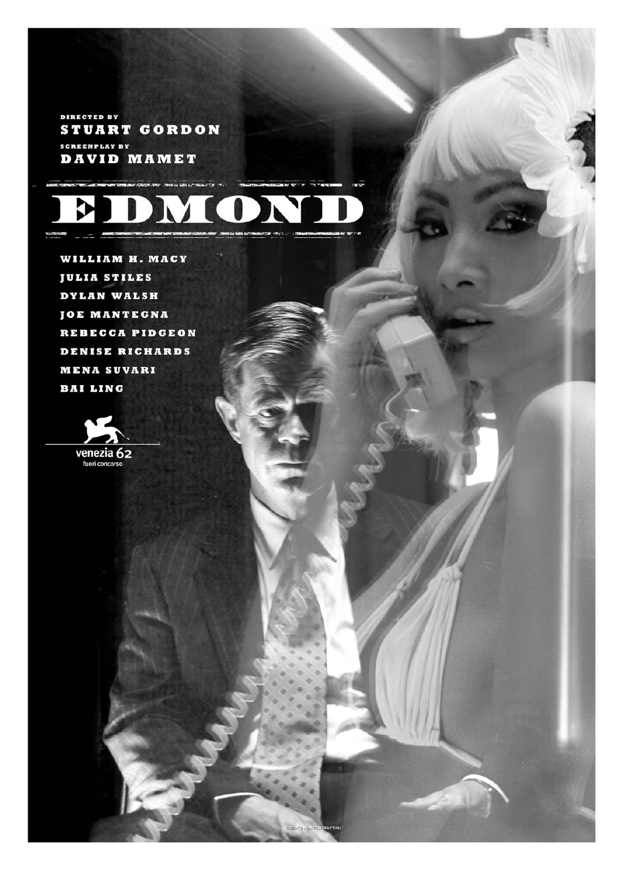DIRECTED BY **STUART GORDON SCREENPLAY BY DAVID MAMET** 



WILLIAM H. MACY **JULIA STILES** DYLAN WALSH **JOE MANTEGNA** REBECCA PIDGEON **DENISE RICHARDS MENA SUVARI BAI LING** 

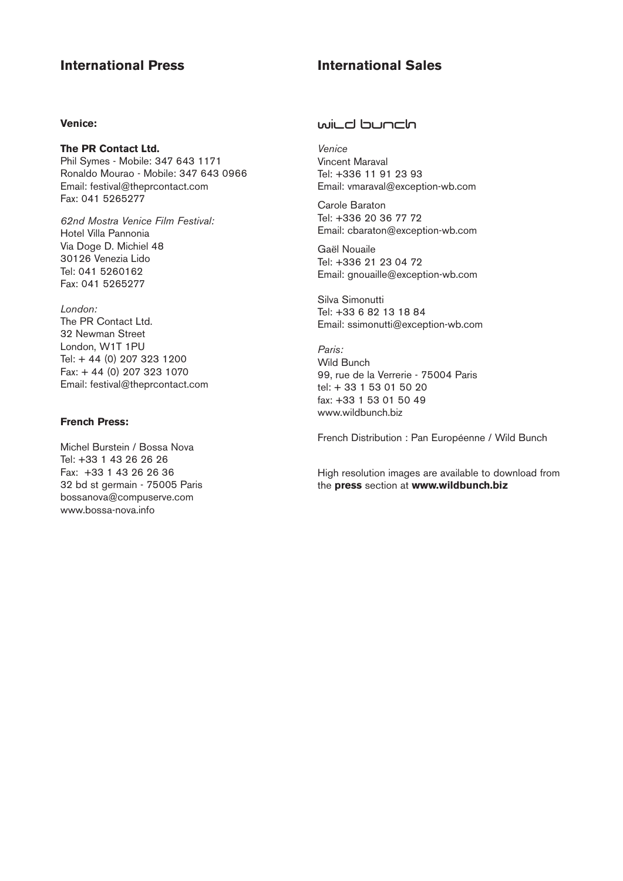# **International Press International Sales**

# **Venice:**

**The PR Contact Ltd.** Phil Symes - Mobile: 347 643 1171 Ronaldo Mourao - Mobile: 347 643 0966 Email: festival@theprcontact.com Fax: 041 5265277

*62nd Mostra Venice Film Festival:* Hotel Villa Pannonia Via Doge D. Michiel 48 30126 Venezia Lido Tel: 041 5260162 Fax: 041 5265277

*London:* The PR Contact Ltd. 32 Newman Street London, W1T 1PU Tel: + 44 (0) 207 323 1200 Fax: + 44 (0) 207 323 1070 Email: festival@theprcontact.com

# **French Press:**

Michel Burstein / Bossa Nova Tel: +33 1 43 26 26 26 Fax: +33 1 43 26 26 36 32 bd st germain - 75005 Paris bossanova@compuserve.com www.bossa-nova.info

# wild bunch

*Venice* Vincent Maraval Tel: +336 11 91 23 93 Email: vmaraval@exception-wb.com

Carole Baraton Tel: +336 20 36 77 72 Email: cbaraton@exception-wb.com

Gaël Nouaile Tel: +336 21 23 04 72 Email: gnouaille@exception-wb.com

Silva Simonutti Tel: +33 6 82 13 18 84 Email: ssimonutti@exception-wb.com

*Paris:*  Wild Bunch 99, rue de la Verrerie - 75004 Paris tel: + 33 1 53 01 50 20 fax: +33 1 53 01 50 49 www.wildbunch.biz

French Distribution : Pan Européenne / Wild Bunch

High resolution images are available to download from the **press** section at **www.wildbunch.biz**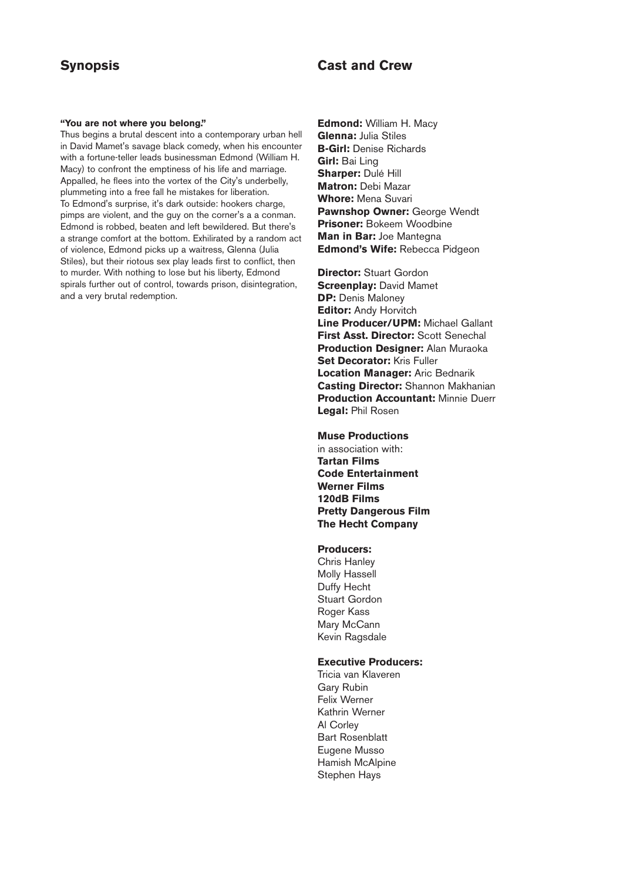# **Synopsis Cast and Crew**

#### **"You are not where you belong."**

Thus begins a brutal descent into a contemporary urban hell in David Mamet's savage black comedy, when his encounter with a fortune-teller leads businessman Edmond (William H. Macy) to confront the emptiness of his life and marriage. Appalled, he flees into the vortex of the City's underbelly, plummeting into a free fall he mistakes for liberation. To Edmond's surprise, it's dark outside: hookers charge, pimps are violent, and the guy on the corner's a a conman. Edmond is robbed, beaten and left bewildered. But there's a strange comfort at the bottom. Exhilirated by a random act of violence, Edmond picks up a waitress, Glenna (Julia Stiles), but their riotous sex play leads first to conflict, then to murder. With nothing to lose but his liberty, Edmond spirals further out of control, towards prison, disintegration, and a very brutal redemption.

**Edmond:** William H. Macy **Glenna:** Julia Stiles **B-Girl:** Denise Richards **Girl:** Bai Ling **Sharper:** Dulé Hill **Matron:** Debi Mazar **Whore:** Mena Suvari **Pawnshop Owner:** George Wendt **Prisoner:** Bokeem Woodbine **Man in Bar:** Joe Mantegna **Edmond's Wife:** Rebecca Pidgeon

**Director:** Stuart Gordon **Screenplay:** David Mamet **DP:** Denis Maloney **Editor:** Andy Horvitch **Line Producer/UPM:** Michael Gallant **First Asst. Director:** Scott Senechal **Production Designer:** Alan Muraoka **Set Decorator:** Kris Fuller **Location Manager:** Aric Bednarik **Casting Director:** Shannon Makhanian **Production Accountant:** Minnie Duerr **Legal:** Phil Rosen

### **Muse Productions**

in association with: **Tartan Films Code Entertainment Werner Films 120dB Films Pretty Dangerous Film The Hecht Company**

#### **Producers:**

Chris Hanley Molly Hassell Duffy Hecht Stuart Gordon Roger Kass Mary McCann Kevin Ragsdale

# **Executive Producers:**

Tricia van Klaveren Gary Rubin Felix Werner Kathrin Werner Al Corley Bart Rosenblatt Eugene Musso Hamish McAlpine Stephen Hays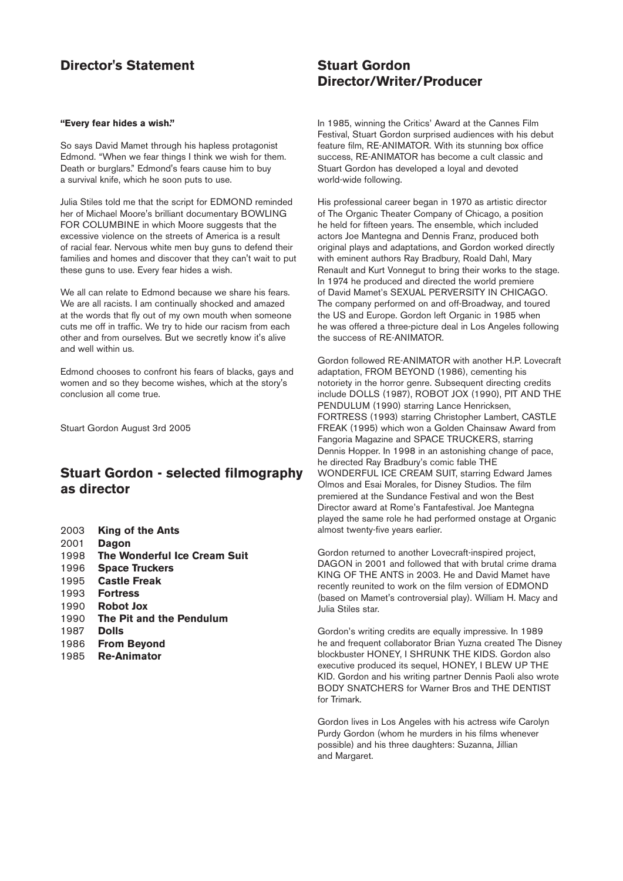# **Director's Statement Stuart Gordon**

#### **"Every fear hides a wish."**

So says David Mamet through his hapless protagonist Edmond. "When we fear things I think we wish for them. Death or burglars." Edmond's fears cause him to buy a survival knife, which he soon puts to use.

Julia Stiles told me that the script for EDMOND reminded her of Michael Moore's brilliant documentary BOWLING FOR COLUMBINE in which Moore suggests that the excessive violence on the streets of America is a result of racial fear. Nervous white men buy guns to defend their families and homes and discover that they can't wait to put these guns to use. Every fear hides a wish.

We all can relate to Edmond because we share his fears. We are all racists. I am continually shocked and amazed at the words that fly out of my own mouth when someone cuts me off in traffic. We try to hide our racism from each other and from ourselves. But we secretly know it's alive and well within us.

Edmond chooses to confront his fears of blacks, gays and women and so they become wishes, which at the story's conclusion all come true.

Stuart Gordon August 3rd 2005

# **Stuart Gordon - selected filmography as director**

 **King of the Ants** 2001 **Dagon The Wonderful Ice Cream Suit Space Truckers Castle Freak** 1993 **Fortress Robot Jox The Pit and the Pendulum** 1987 **Dolls From Beyond Re-Animator** 

# **Director/Writer/Producer**

In 1985, winning the Critics' Award at the Cannes Film Festival, Stuart Gordon surprised audiences with his debut feature film, RE-ANIMATOR. With its stunning box office success, RE-ANIMATOR has become a cult classic and Stuart Gordon has developed a loyal and devoted world-wide following.

His professional career began in 1970 as artistic director of The Organic Theater Company of Chicago, a position he held for fifteen years. The ensemble, which included actors Joe Mantegna and Dennis Franz, produced both original plays and adaptations, and Gordon worked directly with eminent authors Ray Bradbury, Roald Dahl, Mary Renault and Kurt Vonnegut to bring their works to the stage. In 1974 he produced and directed the world premiere of David Mamet's SEXUAL PERVERSITY IN CHICAGO. The company performed on and off-Broadway, and toured the US and Europe. Gordon left Organic in 1985 when he was offered a three-picture deal in Los Angeles following the success of RE-ANIMATOR.

Gordon followed RE-ANIMATOR with another H.P. Lovecraft adaptation, FROM BEYOND (1986), cementing his notoriety in the horror genre. Subsequent directing credits include DOLLS (1987), ROBOT JOX (1990), PIT AND THE PENDULUM (1990) starring Lance Henricksen, FORTRESS (1993) starring Christopher Lambert, CASTLE FREAK (1995) which won a Golden Chainsaw Award from Fangoria Magazine and SPACE TRUCKERS, starring Dennis Hopper. In 1998 in an astonishing change of pace, he directed Ray Bradbury's comic fable THE WONDERFUL ICE CREAM SUIT, starring Edward James Olmos and Esai Morales, for Disney Studios. The film premiered at the Sundance Festival and won the Best Director award at Rome's Fantafestival. Joe Mantegna played the same role he had performed onstage at Organic almost twenty-five years earlier.

Gordon returned to another Lovecraft-inspired project, DAGON in 2001 and followed that with brutal crime drama KING OF THE ANTS in 2003. He and David Mamet have recently reunited to work on the film version of EDMOND (based on Mamet's controversial play). William H. Macy and Julia Stiles star.

Gordon's writing credits are equally impressive. In 1989 he and frequent collaborator Brian Yuzna created The Disney blockbuster HONEY, I SHRUNK THE KIDS. Gordon also executive produced its sequel, HONEY, I BLEW UP THE KID. Gordon and his writing partner Dennis Paoli also wrote BODY SNATCHERS for Warner Bros and THE DENTIST for Trimark.

Gordon lives in Los Angeles with his actress wife Carolyn Purdy Gordon (whom he murders in his films whenever possible) and his three daughters: Suzanna, Jillian and Margaret.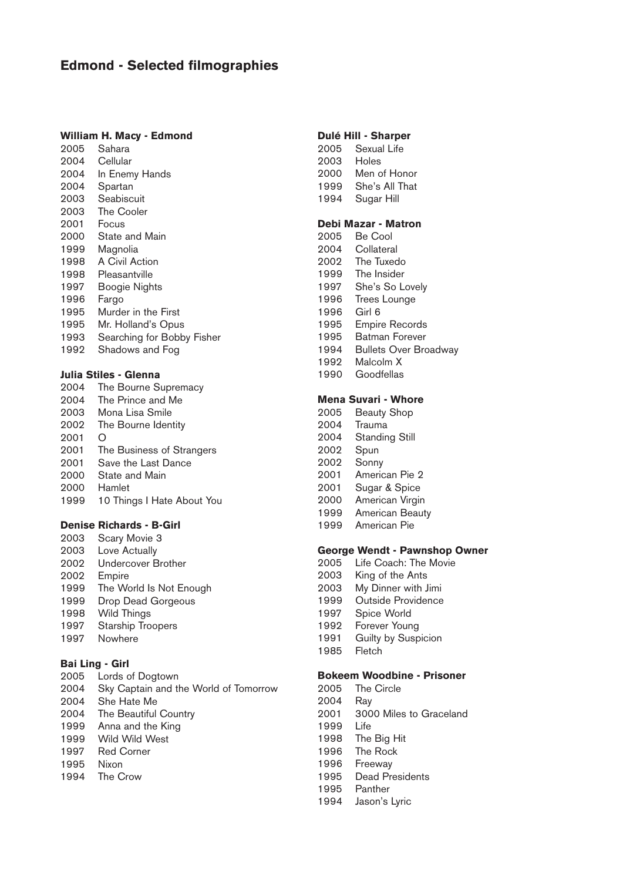# **Edmond - Selected filmographies**

# **William H. Macy - Edmond**

2005 Sahara 2004 Cellular

- 2004 In Enemy Hands
- 2004 Spartan
- 2003 Seabiscuit
- 2003 The Cooler
- 2001 Focus 2000 State and Main
- 1999 Magnolia
- 1998 A Civil Action
- 1998 Pleasantville
- 1997 Boogie Nights
- 1996 Fargo
- 1995 Murder in the First
- 1995 Mr. Holland's Opus
- 1993 Searching for Bobby Fisher
- 1992 Shadows and Fog

# **Julia Stiles - Glenna**

2004 The Bourne Supremacy 2004 The Prince and Me 2003 Mona Lisa Smile 2002 The Bourne Identity 2001 O 2001 The Business of Strangers 2001 Save the Last Dance 2000 State and Main 2000 Hamlet 1999 10 Things I Hate About You

### **Denise Richards - B-Girl**

2003 Scary Movie 3 2003 Love Actually 2002 Undercover Brother 2002 Empire 1999 The World Is Not Enough 1999 Drop Dead Gorgeous 1998 Wild Things 1997 Starship Troopers 1997 Nowhere

# **Bai Ling - Girl**

2005 Lords of Dogtown 2004 Sky Captain and the World of Tomorrow 2004 She Hate Me 2004 The Beautiful Country 1999 Anna and the King 1999 Wild Wild West 1997 Red Corner 1995 Nixon 1994 The Crow

### **Dulé Hill - Sharper**

2005 Sexual Life 2003 Holes 2000 Men of Honor 1999 She's All That 1994 Sugar Hill

# **Debi Mazar - Matron**

- 2005 Be Cool
- 2004 Collateral
- 2002 The Tuxedo
- 1999 The Insider
- 1997 She's So Lovely
- 1996 Trees Lounge
- 1996 Girl 6
- 1995 Empire Records
- 1995 Batman Forever
- 1994 Bullets Over Broadway
- 1992 Malcolm X 1990 Goodfellas
- 

# **Mena Suvari - Whore**

- 2005 Beauty Shop
- 2004 Trauma
- 2004 Standing Still
- 2002 Spun
- 2002 Sonny
- 2001 American Pie 2
- 2001 Sugar & Spice<br>2000 American Virgir American Virgin
- 1999 American Beauty
- 1999 American Pie

# **George Wendt - Pawnshop Owner**

- 2005 Life Coach: The Movie
- 2003 King of the Ants
- 2003 My Dinner with Jimi
- 1999 Outside Providence
- 1997 Spice World
- 1992 Forever Young
- 1991 Guilty by Suspicion<br>1985 Fletch
- $1985$

# **Bokeem Woodbine - Prisoner**

- 2005 The Circle
- 2004 Ray
- 2001 3000 Miles to Graceland
- 1999 Life
- 1998 The Big Hit
- 1996 The Rock
- 1996 Freeway
- 1995 Dead Presidents
- 1995 Panther
- 1994 Jason's Lyric